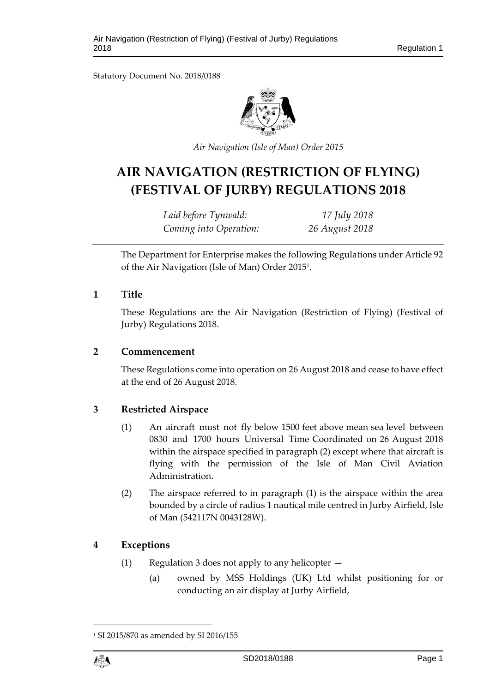Statutory Document No. 2018/0188



*Air Navigation (Isle of Man) Order 2015*

# **AIR NAVIGATION (RESTRICTION OF FLYING) (FESTIVAL OF JURBY) REGULATIONS 2018**

*Laid before Tynwald: 17 July 2018 Coming into Operation: 26 August 2018*

The Department for Enterprise makes the following Regulations under Article 92 of the Air Navigation (Isle of Man) Order 2015<sup>1</sup> .

#### **1 Title**

These Regulations are the Air Navigation (Restriction of Flying) (Festival of Jurby) Regulations 2018.

#### **2 Commencement**

These Regulations come into operation on 26 August 2018 and cease to have effect at the end of 26 August 2018.

## **3 Restricted Airspace**

- (1) An aircraft must not fly below 1500 feet above mean sea level between 0830 and 1700 hours Universal Time Coordinated on 26 August 2018 within the airspace specified in paragraph (2) except where that aircraft is flying with the permission of the Isle of Man Civil Aviation Administration.
- (2) The airspace referred to in paragraph (1) is the airspace within the area bounded by a circle of radius 1 nautical mile centred in Jurby Airfield, Isle of Man (542117N 0043128W).

## **4 Exceptions**

- (1) Regulation 3 does not apply to any helicopter
	- (a) owned by MSS Holdings (UK) Ltd whilst positioning for or conducting an air display at Jurby Airfield,

<sup>1</sup> SI 2015/870 as amended by SI 2016/155



1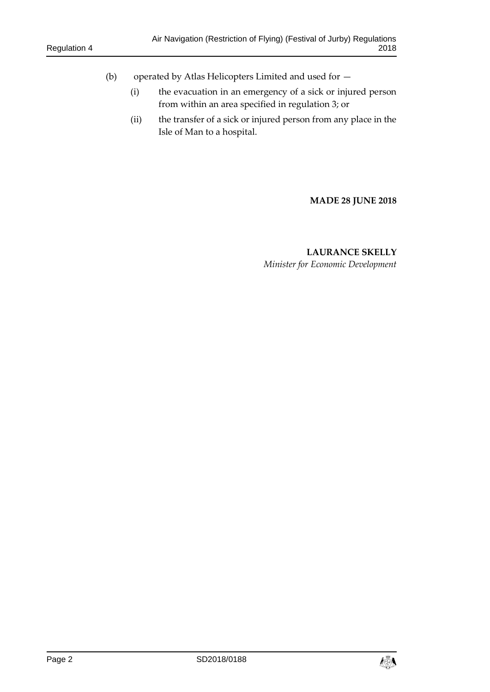- (b) operated by Atlas Helicopters Limited and used for
	- (i) the evacuation in an emergency of a sick or injured person from within an area specified in regulation 3; or
	- (ii) the transfer of a sick or injured person from any place in the Isle of Man to a hospital.

**MADE 28 JUNE 2018**

# **LAURANCE SKELLY** *Minister for Economic Development*